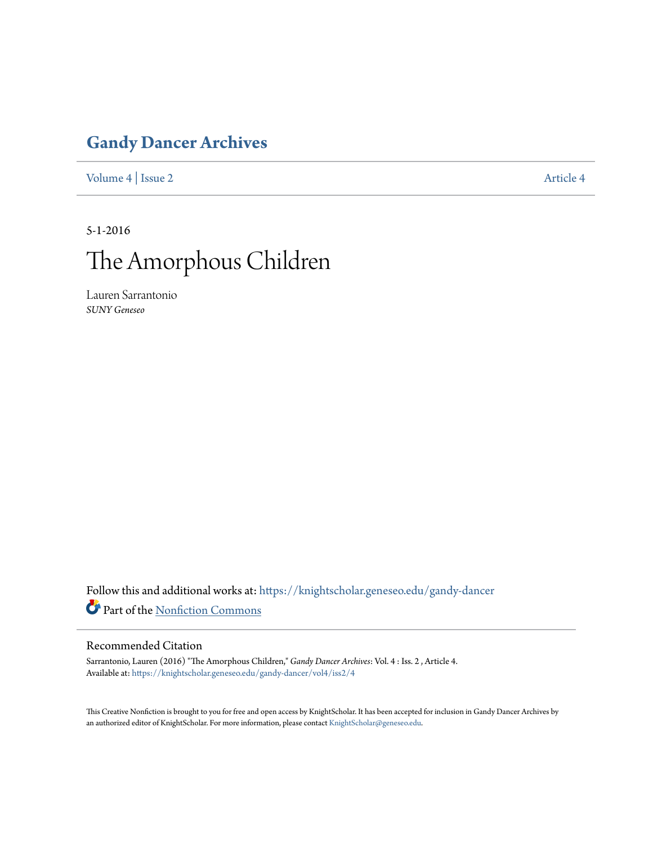### **[Gandy Dancer Archives](https://knightscholar.geneseo.edu/gandy-dancer?utm_source=knightscholar.geneseo.edu%2Fgandy-dancer%2Fvol4%2Fiss2%2F4&utm_medium=PDF&utm_campaign=PDFCoverPages)**

[Volume 4](https://knightscholar.geneseo.edu/gandy-dancer/vol4?utm_source=knightscholar.geneseo.edu%2Fgandy-dancer%2Fvol4%2Fiss2%2F4&utm_medium=PDF&utm_campaign=PDFCoverPages) | [Issue 2](https://knightscholar.geneseo.edu/gandy-dancer/vol4/iss2?utm_source=knightscholar.geneseo.edu%2Fgandy-dancer%2Fvol4%2Fiss2%2F4&utm_medium=PDF&utm_campaign=PDFCoverPages) [Article 4](https://knightscholar.geneseo.edu/gandy-dancer/vol4/iss2/4?utm_source=knightscholar.geneseo.edu%2Fgandy-dancer%2Fvol4%2Fiss2%2F4&utm_medium=PDF&utm_campaign=PDFCoverPages)

5-1-2016

## The Amorphous Children

Lauren Sarrantonio *SUNY Geneseo*

Follow this and additional works at: [https://knightscholar.geneseo.edu/gandy-dancer](https://knightscholar.geneseo.edu/gandy-dancer?utm_source=knightscholar.geneseo.edu%2Fgandy-dancer%2Fvol4%2Fiss2%2F4&utm_medium=PDF&utm_campaign=PDFCoverPages) Part of the [Nonfiction Commons](http://network.bepress.com/hgg/discipline/1152?utm_source=knightscholar.geneseo.edu%2Fgandy-dancer%2Fvol4%2Fiss2%2F4&utm_medium=PDF&utm_campaign=PDFCoverPages)

#### Recommended Citation

Sarrantonio, Lauren (2016) "The Amorphous Children," *Gandy Dancer Archives*: Vol. 4 : Iss. 2 , Article 4. Available at: [https://knightscholar.geneseo.edu/gandy-dancer/vol4/iss2/4](https://knightscholar.geneseo.edu/gandy-dancer/vol4/iss2/4?utm_source=knightscholar.geneseo.edu%2Fgandy-dancer%2Fvol4%2Fiss2%2F4&utm_medium=PDF&utm_campaign=PDFCoverPages)

This Creative Nonfiction is brought to you for free and open access by KnightScholar. It has been accepted for inclusion in Gandy Dancer Archives by an authorized editor of KnightScholar. For more information, please contact [KnightScholar@geneseo.edu](mailto:KnightScholar@geneseo.edu).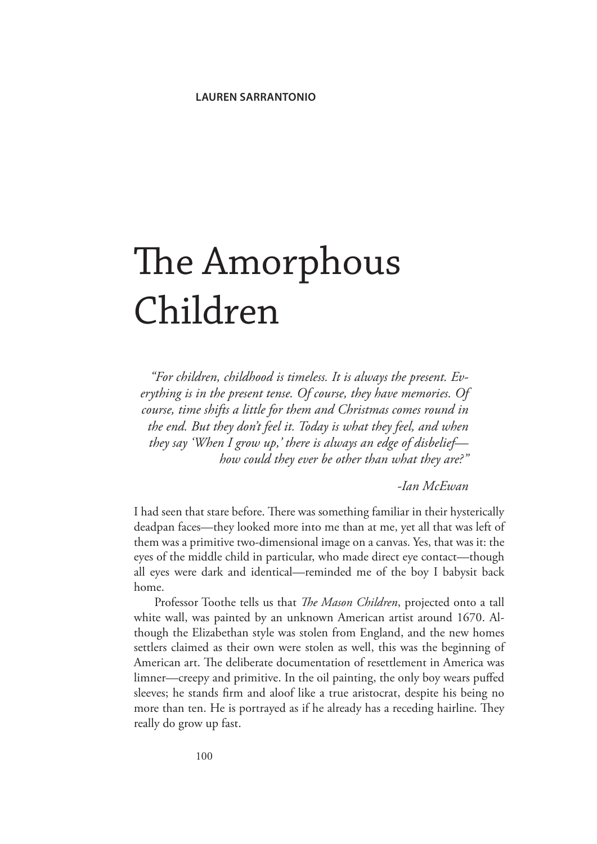# The Amorphous Children

*"For children, childhood is timeless. It is always the present. Everything is in the present tense. Of course, they have memories. Of course, time shifts a little for them and Christmas comes round in the end. But they don't feel it. Today is what they feel, and when they say 'When I grow up,' there is always an edge of disbelief how could they ever be other than what they are?"*

*-Ian McEwan*

I had seen that stare before. There was something familiar in their hysterically deadpan faces—they looked more into me than at me, yet all that was left of them was a primitive two-dimensional image on a canvas. Yes, that was it: the eyes of the middle child in particular, who made direct eye contact—though all eyes were dark and identical—reminded me of the boy I babysit back home.

Professor Toothe tells us that *The Mason Children*, projected onto a tall white wall, was painted by an unknown American artist around 1670. Although the Elizabethan style was stolen from England, and the new homes settlers claimed as their own were stolen as well, this was the beginning of American art. The deliberate documentation of resettlement in America was limner—creepy and primitive. In the oil painting, the only boy wears puffed sleeves; he stands firm and aloof like a true aristocrat, despite his being no more than ten. He is portrayed as if he already has a receding hairline. They really do grow up fast.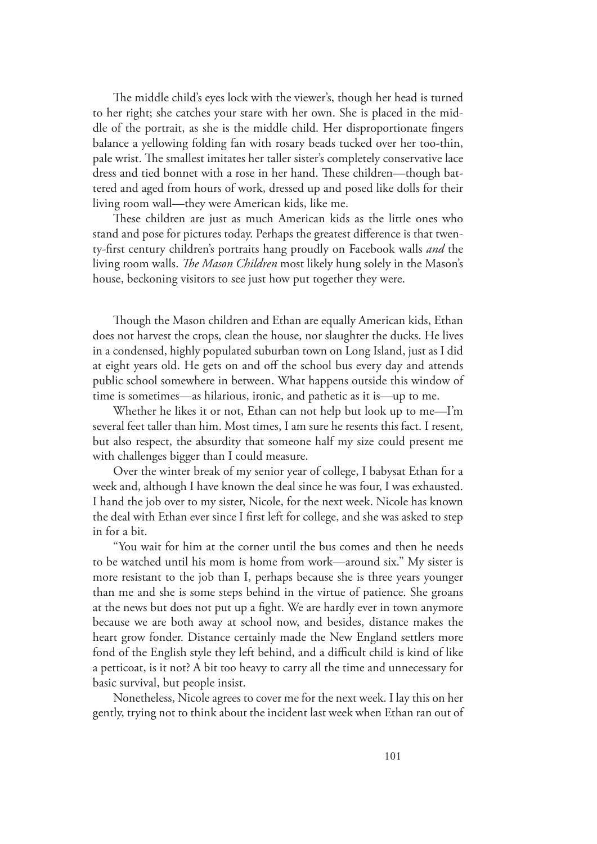The middle child's eyes lock with the viewer's, though her head is turned to her right; she catches your stare with her own. She is placed in the middle of the portrait, as she is the middle child. Her disproportionate fingers balance a yellowing folding fan with rosary beads tucked over her too-thin, pale wrist. The smallest imitates her taller sister's completely conservative lace dress and tied bonnet with a rose in her hand. These children—though battered and aged from hours of work, dressed up and posed like dolls for their living room wall—they were American kids, like me.

These children are just as much American kids as the little ones who stand and pose for pictures today. Perhaps the greatest difference is that twenty-first century children's portraits hang proudly on Facebook walls *and* the living room walls. *The Mason Children* most likely hung solely in the Mason's house, beckoning visitors to see just how put together they were.

Though the Mason children and Ethan are equally American kids, Ethan does not harvest the crops, clean the house, nor slaughter the ducks. He lives in a condensed, highly populated suburban town on Long Island, just as I did at eight years old. He gets on and off the school bus every day and attends public school somewhere in between. What happens outside this window of time is sometimes—as hilarious, ironic, and pathetic as it is—up to me.

Whether he likes it or not, Ethan can not help but look up to me—I'm several feet taller than him. Most times, I am sure he resents this fact. I resent, but also respect, the absurdity that someone half my size could present me with challenges bigger than I could measure.

Over the winter break of my senior year of college, I babysat Ethan for a week and, although I have known the deal since he was four, I was exhausted. I hand the job over to my sister, Nicole, for the next week. Nicole has known the deal with Ethan ever since I first left for college, and she was asked to step in for a bit.

"You wait for him at the corner until the bus comes and then he needs to be watched until his mom is home from work—around six." My sister is more resistant to the job than I, perhaps because she is three years younger than me and she is some steps behind in the virtue of patience. She groans at the news but does not put up a fight. We are hardly ever in town anymore because we are both away at school now, and besides, distance makes the heart grow fonder. Distance certainly made the New England settlers more fond of the English style they left behind, and a difficult child is kind of like a petticoat, is it not? A bit too heavy to carry all the time and unnecessary for basic survival, but people insist.

Nonetheless, Nicole agrees to cover me for the next week. I lay this on her gently, trying not to think about the incident last week when Ethan ran out of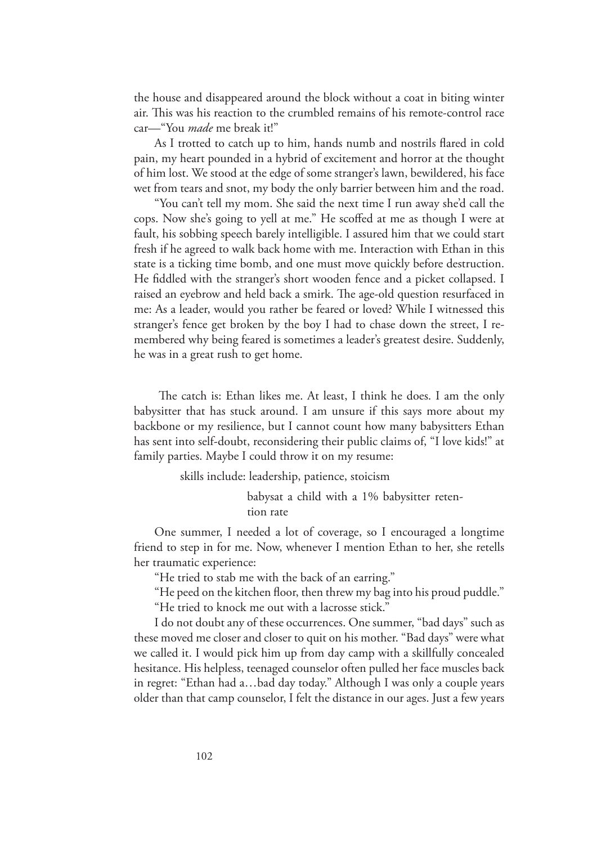the house and disappeared around the block without a coat in biting winter air. This was his reaction to the crumbled remains of his remote-control race car—"You *made* me break it!"

As I trotted to catch up to him, hands numb and nostrils flared in cold pain, my heart pounded in a hybrid of excitement and horror at the thought of him lost. We stood at the edge of some stranger's lawn, bewildered, his face wet from tears and snot, my body the only barrier between him and the road.

"You can't tell my mom. She said the next time I run away she'd call the cops. Now she's going to yell at me." He scoffed at me as though I were at fault, his sobbing speech barely intelligible. I assured him that we could start fresh if he agreed to walk back home with me. Interaction with Ethan in this state is a ticking time bomb, and one must move quickly before destruction. He fiddled with the stranger's short wooden fence and a picket collapsed. I raised an eyebrow and held back a smirk. The age-old question resurfaced in me: As a leader, would you rather be feared or loved? While I witnessed this stranger's fence get broken by the boy I had to chase down the street, I remembered why being feared is sometimes a leader's greatest desire. Suddenly, he was in a great rush to get home.

 The catch is: Ethan likes me. At least, I think he does. I am the only babysitter that has stuck around. I am unsure if this says more about my backbone or my resilience, but I cannot count how many babysitters Ethan has sent into self-doubt, reconsidering their public claims of, "I love kids!" at family parties. Maybe I could throw it on my resume:

skills include: leadership, patience, stoicism

babysat a child with a 1% babysitter retention rate

One summer, I needed a lot of coverage, so I encouraged a longtime friend to step in for me. Now, whenever I mention Ethan to her, she retells her traumatic experience:

"He tried to stab me with the back of an earring."

"He peed on the kitchen floor, then threw my bag into his proud puddle."

"He tried to knock me out with a lacrosse stick."

I do not doubt any of these occurrences. One summer, "bad days" such as these moved me closer and closer to quit on his mother. "Bad days" were what we called it. I would pick him up from day camp with a skillfully concealed hesitance. His helpless, teenaged counselor often pulled her face muscles back in regret: "Ethan had a…bad day today." Although I was only a couple years older than that camp counselor, I felt the distance in our ages. Just a few years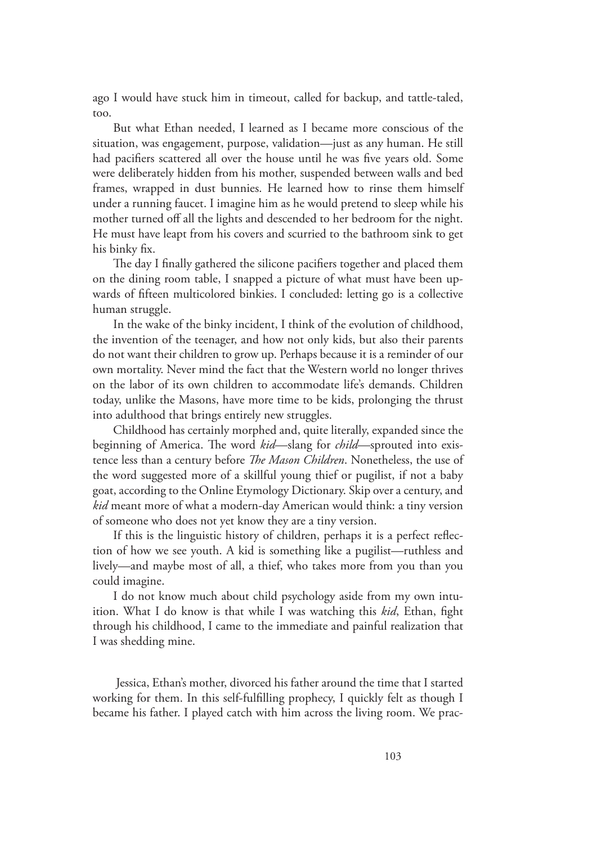ago I would have stuck him in timeout, called for backup, and tattle-taled, too.

But what Ethan needed, I learned as I became more conscious of the situation, was engagement, purpose, validation—just as any human. He still had pacifiers scattered all over the house until he was five years old. Some were deliberately hidden from his mother, suspended between walls and bed frames, wrapped in dust bunnies. He learned how to rinse them himself under a running faucet. I imagine him as he would pretend to sleep while his mother turned off all the lights and descended to her bedroom for the night. He must have leapt from his covers and scurried to the bathroom sink to get his binky fix.

The day I finally gathered the silicone pacifiers together and placed them on the dining room table, I snapped a picture of what must have been upwards of fifteen multicolored binkies. I concluded: letting go is a collective human struggle.

In the wake of the binky incident, I think of the evolution of childhood, the invention of the teenager, and how not only kids, but also their parents do not want their children to grow up. Perhaps because it is a reminder of our own mortality. Never mind the fact that the Western world no longer thrives on the labor of its own children to accommodate life's demands. Children today, unlike the Masons, have more time to be kids, prolonging the thrust into adulthood that brings entirely new struggles.

Childhood has certainly morphed and, quite literally, expanded since the beginning of America. The word *kid*—slang for *child*—sprouted into existence less than a century before *The Mason Children*. Nonetheless, the use of the word suggested more of a skillful young thief or pugilist, if not a baby goat, according to the Online Etymology Dictionary. Skip over a century, and *kid* meant more of what a modern-day American would think: a tiny version of someone who does not yet know they are a tiny version.

If this is the linguistic history of children, perhaps it is a perfect reflection of how we see youth. A kid is something like a pugilist—ruthless and lively—and maybe most of all, a thief, who takes more from you than you could imagine.

I do not know much about child psychology aside from my own intuition. What I do know is that while I was watching this *kid*, Ethan, fight through his childhood, I came to the immediate and painful realization that I was shedding mine.

 Jessica, Ethan's mother, divorced his father around the time that I started working for them. In this self-fulfilling prophecy, I quickly felt as though I became his father. I played catch with him across the living room. We prac-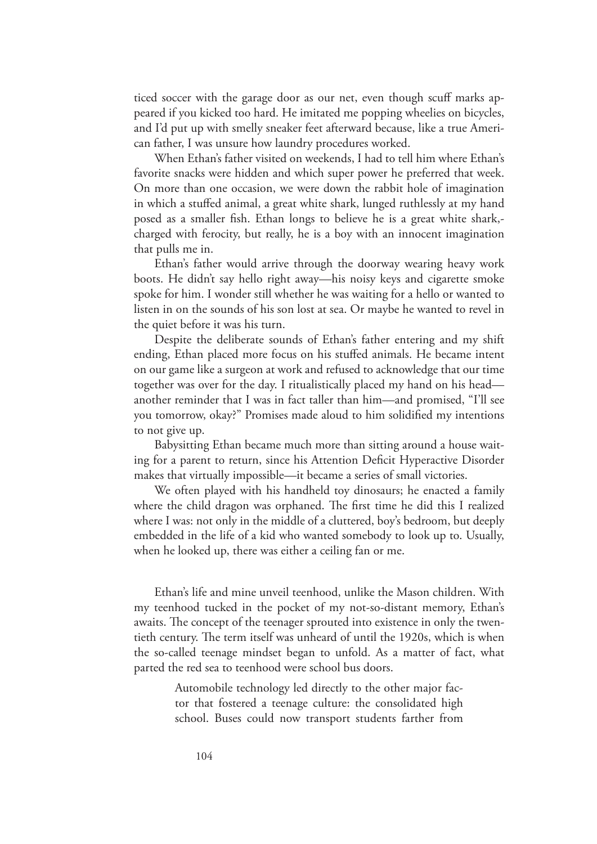ticed soccer with the garage door as our net, even though scuff marks appeared if you kicked too hard. He imitated me popping wheelies on bicycles, and I'd put up with smelly sneaker feet afterward because, like a true American father, I was unsure how laundry procedures worked.

When Ethan's father visited on weekends, I had to tell him where Ethan's favorite snacks were hidden and which super power he preferred that week. On more than one occasion, we were down the rabbit hole of imagination in which a stuffed animal, a great white shark, lunged ruthlessly at my hand posed as a smaller fish. Ethan longs to believe he is a great white shark, charged with ferocity, but really, he is a boy with an innocent imagination that pulls me in.

Ethan's father would arrive through the doorway wearing heavy work boots. He didn't say hello right away—his noisy keys and cigarette smoke spoke for him. I wonder still whether he was waiting for a hello or wanted to listen in on the sounds of his son lost at sea. Or maybe he wanted to revel in the quiet before it was his turn.

Despite the deliberate sounds of Ethan's father entering and my shift ending, Ethan placed more focus on his stuffed animals. He became intent on our game like a surgeon at work and refused to acknowledge that our time together was over for the day. I ritualistically placed my hand on his head another reminder that I was in fact taller than him—and promised, "I'll see you tomorrow, okay?" Promises made aloud to him solidified my intentions to not give up.

Babysitting Ethan became much more than sitting around a house waiting for a parent to return, since his Attention Deficit Hyperactive Disorder makes that virtually impossible—it became a series of small victories.

We often played with his handheld toy dinosaurs; he enacted a family where the child dragon was orphaned. The first time he did this I realized where I was: not only in the middle of a cluttered, boy's bedroom, but deeply embedded in the life of a kid who wanted somebody to look up to. Usually, when he looked up, there was either a ceiling fan or me.

Ethan's life and mine unveil teenhood, unlike the Mason children. With my teenhood tucked in the pocket of my not-so-distant memory, Ethan's awaits. The concept of the teenager sprouted into existence in only the twentieth century. The term itself was unheard of until the 1920s, which is when the so-called teenage mindset began to unfold. As a matter of fact, what parted the red sea to teenhood were school bus doors.

> Automobile technology led directly to the other major factor that fostered a teenage culture: the consolidated high school. Buses could now transport students farther from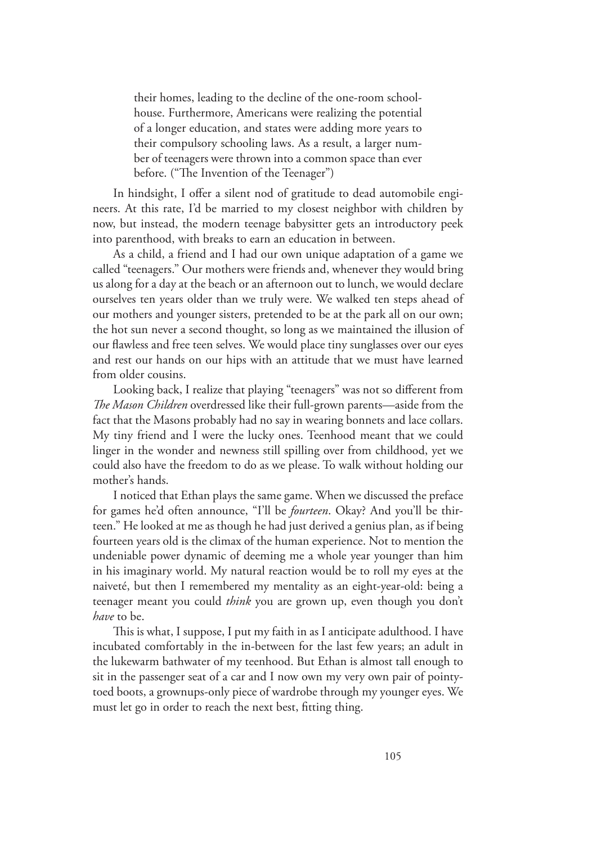their homes, leading to the decline of the one-room schoolhouse. Furthermore, Americans were realizing the potential of a longer education, and states were adding more years to their compulsory schooling laws. As a result, a larger number of teenagers were thrown into a common space than ever before. ("The Invention of the Teenager")

In hindsight, I offer a silent nod of gratitude to dead automobile engineers. At this rate, I'd be married to my closest neighbor with children by now, but instead, the modern teenage babysitter gets an introductory peek into parenthood, with breaks to earn an education in between.

As a child, a friend and I had our own unique adaptation of a game we called "teenagers." Our mothers were friends and, whenever they would bring us along for a day at the beach or an afternoon out to lunch, we would declare ourselves ten years older than we truly were. We walked ten steps ahead of our mothers and younger sisters, pretended to be at the park all on our own; the hot sun never a second thought, so long as we maintained the illusion of our flawless and free teen selves. We would place tiny sunglasses over our eyes and rest our hands on our hips with an attitude that we must have learned from older cousins.

Looking back, I realize that playing "teenagers" was not so different from *The Mason Children* overdressed like their full-grown parents—aside from the fact that the Masons probably had no say in wearing bonnets and lace collars. My tiny friend and I were the lucky ones. Teenhood meant that we could linger in the wonder and newness still spilling over from childhood, yet we could also have the freedom to do as we please. To walk without holding our mother's hands.

I noticed that Ethan plays the same game. When we discussed the preface for games he'd often announce, "I'll be *fourteen*. Okay? And you'll be thirteen." He looked at me as though he had just derived a genius plan, as if being fourteen years old is the climax of the human experience. Not to mention the undeniable power dynamic of deeming me a whole year younger than him in his imaginary world. My natural reaction would be to roll my eyes at the naiveté, but then I remembered my mentality as an eight-year-old: being a teenager meant you could *think* you are grown up, even though you don't *have* to be.

This is what, I suppose, I put my faith in as I anticipate adulthood. I have incubated comfortably in the in-between for the last few years; an adult in the lukewarm bathwater of my teenhood. But Ethan is almost tall enough to sit in the passenger seat of a car and I now own my very own pair of pointytoed boots, a grownups-only piece of wardrobe through my younger eyes. We must let go in order to reach the next best, fitting thing.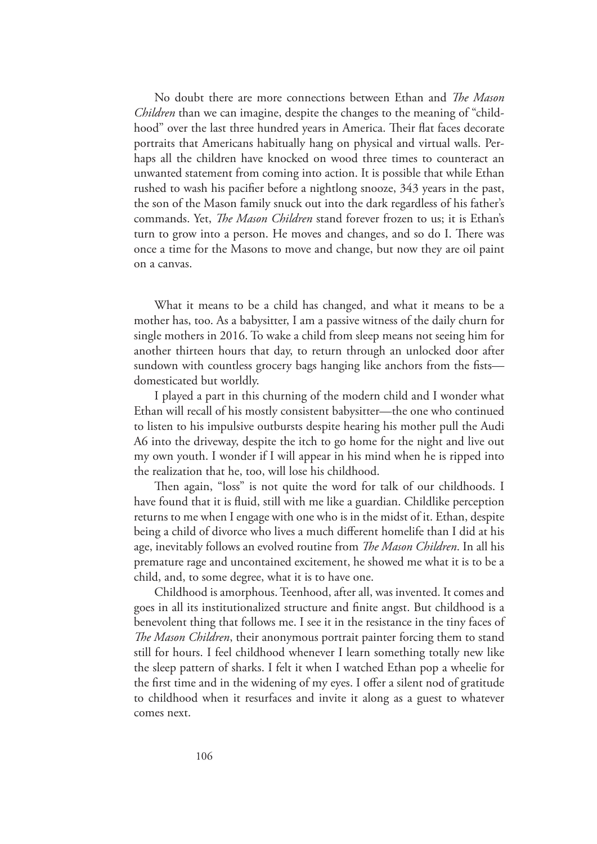No doubt there are more connections between Ethan and *The Mason Children* than we can imagine, despite the changes to the meaning of "childhood" over the last three hundred years in America. Their flat faces decorate portraits that Americans habitually hang on physical and virtual walls. Perhaps all the children have knocked on wood three times to counteract an unwanted statement from coming into action. It is possible that while Ethan rushed to wash his pacifier before a nightlong snooze, 343 years in the past, the son of the Mason family snuck out into the dark regardless of his father's commands. Yet, *The Mason Children* stand forever frozen to us; it is Ethan's turn to grow into a person. He moves and changes, and so do I. There was once a time for the Masons to move and change, but now they are oil paint on a canvas.

What it means to be a child has changed, and what it means to be a mother has, too. As a babysitter, I am a passive witness of the daily churn for single mothers in 2016. To wake a child from sleep means not seeing him for another thirteen hours that day, to return through an unlocked door after sundown with countless grocery bags hanging like anchors from the fists domesticated but worldly.

I played a part in this churning of the modern child and I wonder what Ethan will recall of his mostly consistent babysitter—the one who continued to listen to his impulsive outbursts despite hearing his mother pull the Audi A6 into the driveway, despite the itch to go home for the night and live out my own youth. I wonder if I will appear in his mind when he is ripped into the realization that he, too, will lose his childhood.

Then again, "loss" is not quite the word for talk of our childhoods. I have found that it is fluid, still with me like a guardian. Childlike perception returns to me when I engage with one who is in the midst of it. Ethan, despite being a child of divorce who lives a much different homelife than I did at his age, inevitably follows an evolved routine from *The Mason Children*. In all his premature rage and uncontained excitement, he showed me what it is to be a child, and, to some degree, what it is to have one.

Childhood is amorphous. Teenhood, after all, was invented. It comes and goes in all its institutionalized structure and finite angst. But childhood is a benevolent thing that follows me. I see it in the resistance in the tiny faces of *The Mason Children*, their anonymous portrait painter forcing them to stand still for hours. I feel childhood whenever I learn something totally new like the sleep pattern of sharks. I felt it when I watched Ethan pop a wheelie for the first time and in the widening of my eyes. I offer a silent nod of gratitude to childhood when it resurfaces and invite it along as a guest to whatever comes next.